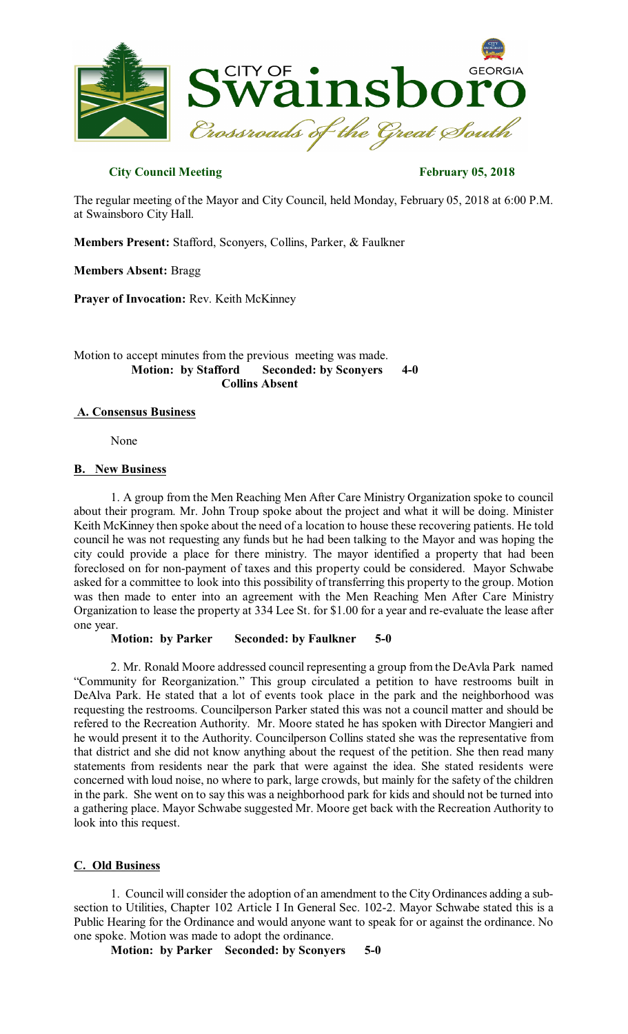

## **City Council Meeting February 05, 2018**

The regular meeting of the Mayor and City Council, held Monday, February 05, 2018 at 6:00 P.M. at Swainsboro City Hall.

**Members Present:** Stafford, Sconyers, Collins, Parker, & Faulkner

**Members Absent:** Bragg

**Prayer of Invocation:** Rev. Keith McKinney

Motion to accept minutes from the previous meeting was made. **Motion: by Stafford Seconded: by Sconyers 4-0 Collins Absent**

## **A. Consensus Business**

None

## **B. New Business**

1. A group from the Men Reaching Men After Care Ministry Organization spoke to council about their program. Mr. John Troup spoke about the project and what it will be doing. Minister Keith McKinney then spoke about the need of a location to house these recovering patients. He told council he was not requesting any funds but he had been talking to the Mayor and was hoping the city could provide a place for there ministry. The mayor identified a property that had been foreclosed on for non-payment of taxes and this property could be considered. Mayor Schwabe asked for a committee to look into this possibility of transferring this property to the group. Motion was then made to enter into an agreement with the Men Reaching Men After Care Ministry Organization to lease the property at 334 Lee St. for \$1.00 for a year and re-evaluate the lease after one year.

**Motion: by Parker Seconded: by Faulkner 5-0** 

2. Mr. Ronald Moore addressed council representing a group from the DeAvla Park named "Community for Reorganization." This group circulated a petition to have restrooms built in DeAlva Park. He stated that a lot of events took place in the park and the neighborhood was requesting the restrooms. Councilperson Parker stated this was not a council matter and should be refered to the Recreation Authority. Mr. Moore stated he has spoken with Director Mangieri and he would present it to the Authority. Councilperson Collins stated she was the representative from that district and she did not know anything about the request of the petition. She then read many statements from residents near the park that were against the idea. She stated residents were concerned with loud noise, no where to park, large crowds, but mainly for the safety of the children in the park. She went on to say this was a neighborhood park for kids and should not be turned into a gathering place. Mayor Schwabe suggested Mr. Moore get back with the Recreation Authority to look into this request.

## **C. Old Business**

1. Council will consider the adoption of an amendment to the City Ordinances adding a subsection to Utilities, Chapter 102 Article I In General Sec. 102-2. Mayor Schwabe stated this is a Public Hearing for the Ordinance and would anyone want to speak for or against the ordinance. No one spoke. Motion was made to adopt the ordinance.

**Motion: by Parker Seconded: by Sconyers 5-0**